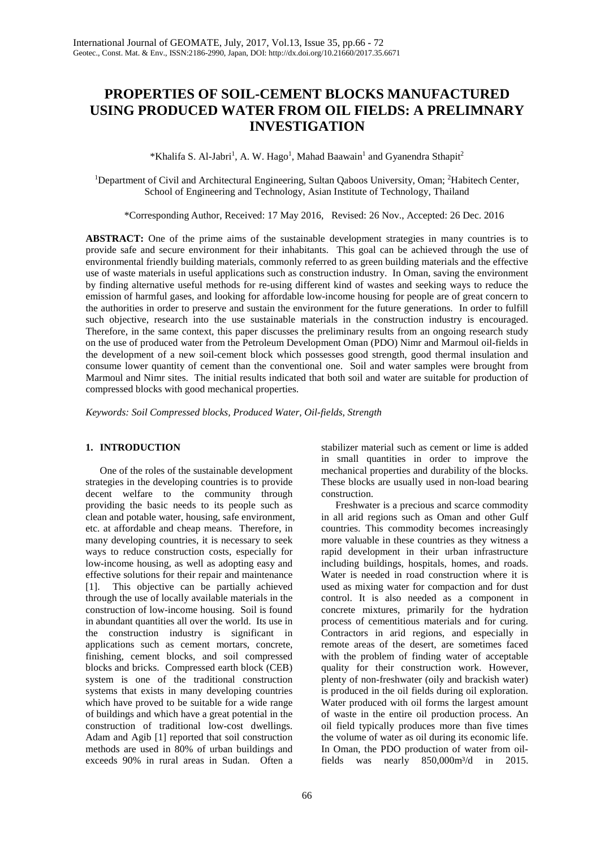# **PROPERTIES OF SOIL-CEMENT BLOCKS MANUFACTURED USING PRODUCED WATER FROM OIL FIELDS: A PRELIMNARY INVESTIGATION**

\*Khalifa S. Al-Jabri<sup>1</sup>, A. W. Hago<sup>1</sup>, Mahad Baawain<sup>1</sup> and Gyanendra Sthapit<sup>2</sup>

<sup>1</sup>Department of Civil and Architectural Engineering, Sultan Qaboos University, Oman; <sup>2</sup>Habitech Center, School of Engineering and Technology, Asian Institute of Technology, Thailand

\*Corresponding Author, Received: 17 May 2016, Revised: 26 Nov., Accepted: 26 Dec. 2016

**ABSTRACT:** One of the prime aims of the sustainable development strategies in many countries is to provide safe and secure environment for their inhabitants. This goal can be achieved through the use of environmental friendly building materials, commonly referred to as green building materials and the effective use of waste materials in useful applications such as construction industry. In Oman, saving the environment by finding alternative useful methods for re-using different kind of wastes and seeking ways to reduce the emission of harmful gases, and looking for affordable low-income housing for people are of great concern to the authorities in order to preserve and sustain the environment for the future generations. In order to fulfill such objective, research into the use sustainable materials in the construction industry is encouraged. Therefore, in the same context, this paper discusses the preliminary results from an ongoing research study on the use of produced water from the Petroleum Development Oman (PDO) Nimr and Marmoul oil-fields in the development of a new soil-cement block which possesses good strength, good thermal insulation and consume lower quantity of cement than the conventional one. Soil and water samples were brought from Marmoul and Nimr sites. The initial results indicated that both soil and water are suitable for production of compressed blocks with good mechanical properties.

*Keywords: Soil Compressed blocks, Produced Water, Oil-fields, Strength*

#### **1. INTRODUCTION**

One of the roles of the sustainable development strategies in the developing countries is to provide decent welfare to the community through providing the basic needs to its people such as clean and potable water, housing, safe environment, etc. at affordable and cheap means. Therefore, in many developing countries, it is necessary to seek ways to reduce construction costs, especially for low-income housing, as well as adopting easy and effective solutions for their repair and maintenance [1]. This objective can be partially achieved through the use of locally available materials in the construction of low-income housing. Soil is found in abundant quantities all over the world. Its use in the construction industry is significant in applications such as cement mortars, concrete, finishing, cement blocks, and soil compressed blocks and bricks. Compressed earth block (CEB) system is one of the traditional construction systems that exists in many developing countries which have proved to be suitable for a wide range of buildings and which have a great potential in the construction of traditional low-cost dwellings. Adam and Agib [1] reported that soil construction methods are used in 80% of urban buildings and exceeds 90% in rural areas in Sudan. Often a

stabilizer material such as cement or lime is added in small quantities in order to improve the mechanical properties and durability of the blocks. These blocks are usually used in non-load bearing construction.

Freshwater is a precious and scarce commodity in all arid regions such as Oman and other Gulf countries. This commodity becomes increasingly more valuable in these countries as they witness a rapid development in their urban infrastructure including buildings, hospitals, homes, and roads. Water is needed in road construction where it is used as mixing water for compaction and for dust control. It is also needed as a component in concrete mixtures, primarily for the hydration process of cementitious materials and for curing. Contractors in arid regions, and especially in remote areas of the desert, are sometimes faced with the problem of finding water of acceptable quality for their construction work. However, plenty of non-freshwater (oily and brackish water) is produced in the oil fields during oil exploration. Water produced with oil forms the largest amount of waste in the entire oil production process. An oil field typically produces more than five times the volume of water as oil during its economic life. In Oman, the PDO production of water from oilfields was nearly 850,000m<sup>3</sup>/d in 2015.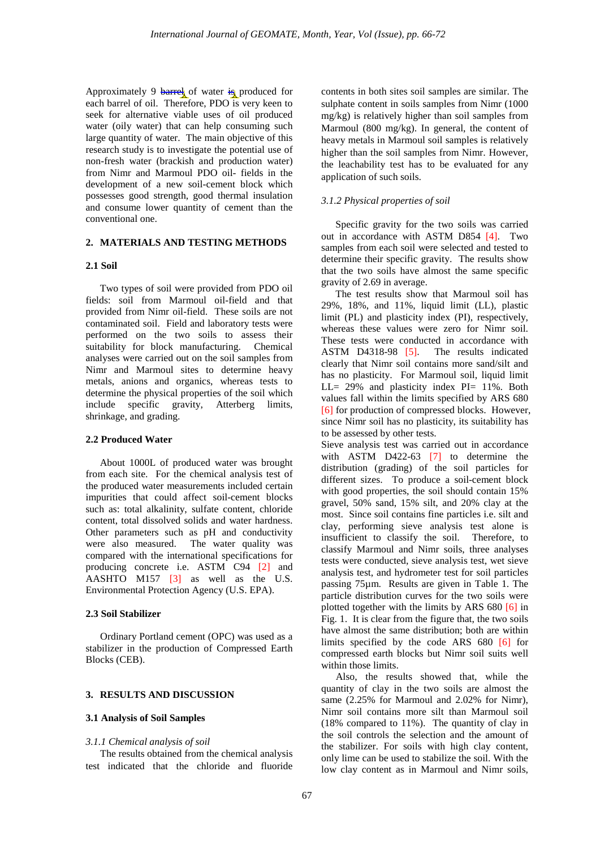Approximately 9 barrel of water is produced for each barrel of oil. Therefore, PDO is very keen to seek for alternative viable uses of oil produced water (oily water) that can help consuming such large quantity of water. The main objective of this research study is to investigate the potential use of non-fresh water (brackish and production water) from Nimr and Marmoul PDO oil- fields in the development of a new soil-cement block which possesses good strength, good thermal insulation and consume lower quantity of cement than the conventional one.

### **2. MATERIALS AND TESTING METHODS**

#### **2.1 Soil**

Two types of soil were provided from PDO oil fields: soil from Marmoul oil-field and that provided from Nimr oil-field. These soils are not contaminated soil. Field and laboratory tests were performed on the two soils to assess their suitability for block manufacturing. Chemical analyses were carried out on the soil samples from Nimr and Marmoul sites to determine heavy metals, anions and organics, whereas tests to determine the physical properties of the soil which include specific gravity, Atterberg limits, shrinkage, and grading.

# **2.2 Produced Water**

About 1000L of produced water was brought from each site. For the chemical analysis test of the produced water measurements included certain impurities that could affect soil-cement blocks such as: total alkalinity, sulfate content, chloride content, total dissolved solids and water hardness. Other parameters such as pH and conductivity were also measured. The water quality was compared with the international specifications for producing concrete i.e. ASTM C94 [2] and AASHTO M157 [3] as well as the U.S. Environmental Protection Agency (U.S. EPA).

#### **2.3 Soil Stabilizer**

Ordinary Portland cement (OPC) was used as a stabilizer in the production of Compressed Earth Blocks (CEB).

#### **3. RESULTS AND DISCUSSION**

#### **3.1 Analysis of Soil Samples**

#### *3.1.1 Chemical analysis of soil*

The results obtained from the chemical analysis test indicated that the chloride and fluoride

contents in both sites soil samples are similar. The sulphate content in soils samples from Nimr (1000 mg/kg) is relatively higher than soil samples from Marmoul (800 mg/kg). In general, the content of heavy metals in Marmoul soil samples is relatively higher than the soil samples from Nimr. However, the leachability test has to be evaluated for any application of such soils.

#### *3.1.2 Physical properties of soil*

Specific gravity for the two soils was carried out in accordance with ASTM D854 [4]. Two samples from each soil were selected and tested to determine their specific gravity. The results show that the two soils have almost the same specific gravity of 2.69 in average.

The test results show that Marmoul soil has 29%, 18%, and 11%, liquid limit (LL), plastic limit (PL) and plasticity index (PI), respectively, whereas these values were zero for Nimr soil. These tests were conducted in accordance with<br>ASTM D4318-98 [5]. The results indicated ASTM D4318-98 [5]. clearly that Nimr soil contains more sand/silt and has no plasticity. For Marmoul soil, liquid limit LL= 29% and plasticity index PI= 11%. Both values fall within the limits specified by ARS 680 [6] for production of compressed blocks. However, since Nimr soil has no plasticity, its suitability has to be assessed by other tests.

Sieve analysis test was carried out in accordance with ASTM D422-63 [7] to determine the distribution (grading) of the soil particles for different sizes. To produce a soil-cement block with good properties, the soil should contain 15% gravel, 50% sand, 15% silt, and 20% clay at the most. Since soil contains fine particles i.e. silt and clay, performing sieve analysis test alone is insufficient to classify the soil. Therefore, to classify Marmoul and Nimr soils, three analyses tests were conducted, sieve analysis test, wet sieve analysis test, and hydrometer test for soil particles passing 75µm. Results are given in Table 1. The particle distribution curves for the two soils were plotted together with the limits by ARS 680 [6] in Fig. 1. It is clear from the figure that, the two soils have almost the same distribution; both are within limits specified by the code ARS 680 [6] for compressed earth blocks but Nimr soil suits well within those limits.

Also, the results showed that, while the quantity of clay in the two soils are almost the same (2.25% for Marmoul and 2.02% for Nimr), Nimr soil contains more silt than Marmoul soil (18% compared to 11%). The quantity of clay in the soil controls the selection and the amount of the stabilizer. For soils with high clay content, only lime can be used to stabilize the soil. With the low clay content as in Marmoul and Nimr soils,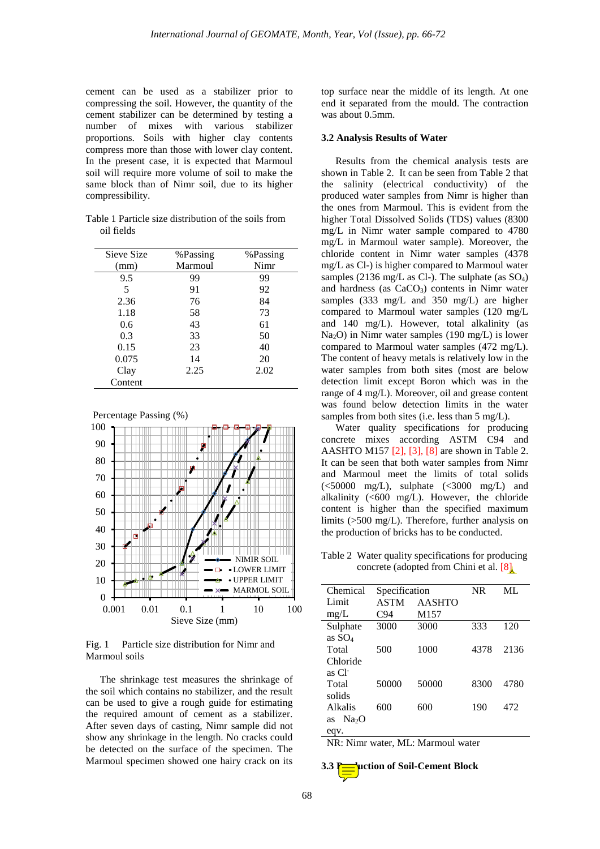cement can be used as a stabilizer prior to compressing the soil. However, the quantity of the cement stabilizer can be determined by testing a number of mixes with various stabilizer proportions. Soils with higher clay contents compress more than those with lower clay content. In the present case, it is expected that Marmoul soil will require more volume of soil to make the same block than of Nimr soil, due to its higher compressibility.

Table 1 Particle size distribution of the soils from oil fields

| Sieve Size | %Passing | %Passing |  |
|------------|----------|----------|--|
| (mm)       | Marmoul  | Nimr     |  |
| 9.5        | 99       | 99       |  |
| 5          | 91       | 92       |  |
| 2.36       | 76       | 84       |  |
| 1.18       | 58       | 73       |  |
| 0.6        | 43       | 61       |  |
| 0.3        | 33       | 50       |  |
| 0.15       | 23       | 40       |  |
| 0.075      | 14       | 20       |  |
| Clay       | 2.25     | 2.02     |  |
| Content    |          |          |  |





Fig. 1 Particle size distribution for Nimr and Marmoul soils

The shrinkage test measures the shrinkage of the soil which contains no stabilizer, and the result can be used to give a rough guide for estimating the required amount of cement as a stabilizer. After seven days of casting, Nimr sample did not show any shrinkage in the length. No cracks could be detected on the surface of the specimen. The Marmoul specimen showed one hairy crack on its

top surface near the middle of its length. At one end it separated from the mould. The contraction was about 0.5mm.

#### **3.2 Analysis Results of Water**

Results from the chemical analysis tests are shown in Table 2. It can be seen from Table 2 that the salinity (electrical conductivity) of the produced water samples from Nimr is higher than the ones from Marmoul. This is evident from the higher Total Dissolved Solids (TDS) values (8300 mg/L in Nimr water sample compared to 4780 mg/L in Marmoul water sample). Moreover, the chloride content in Nimr water samples (4378 mg/L as Cl-) is higher compared to Marmoul water samples (2136 mg/L as Cl-). The sulphate (as SO4) and hardness (as  $CaCO<sub>3</sub>$ ) contents in Nimr water samples (333 mg/L and 350 mg/L) are higher compared to Marmoul water samples (120 mg/L and 140 mg/L). However, total alkalinity (as Na2O) in Nimr water samples (190 mg/L) is lower compared to Marmoul water samples (472 mg/L). The content of heavy metals is relatively low in the water samples from both sites (most are below detection limit except Boron which was in the range of 4 mg/L). Moreover, oil and grease content was found below detection limits in the water samples from both sites (i.e. less than 5 mg/L).

Water quality specifications for producing concrete mixes according ASTM C94 and AASHTO M157 [2], [3], [8] are shown in Table 2. It can be seen that both water samples from Nimr and Marmoul meet the limits of total solids  $\langle$  <50000 mg/L), sulphate  $\langle$  <3000 mg/L) and alkalinity  $( $600 \, \text{mg/L}$ ). However, the chloride$ content is higher than the specified maximum limits (>500 mg/L). Therefore, further analysis on the production of bricks has to be conducted.

Table 2 Water quality specifications for producing concrete (adopted from Chini et al. [8]

| Chemical                | Specification |                  | NR   | ML   |
|-------------------------|---------------|------------------|------|------|
| Limit                   | <b>ASTM</b>   | <b>AASHTO</b>    |      |      |
| mg/L                    | C94           | M <sub>157</sub> |      |      |
| Sulphate                | 3000          | 3000             | 333  | 120  |
| as $SO_4$               |               |                  |      |      |
| Total                   | 500           | 1000             | 4378 | 2136 |
| Chloride                |               |                  |      |      |
| as Cl <sup>-</sup>      |               |                  |      |      |
| Total                   | 50000         | 50000            | 8300 | 4780 |
| solids                  |               |                  |      |      |
| Alkalis                 | 600           | 600              | 190  | 472  |
| Na <sub>2</sub> O<br>as |               |                  |      |      |
| eqv.                    |               |                  |      |      |

NR: Nimr water, ML: Marmoul water

# **3.3 Production of Soil-Cement Block**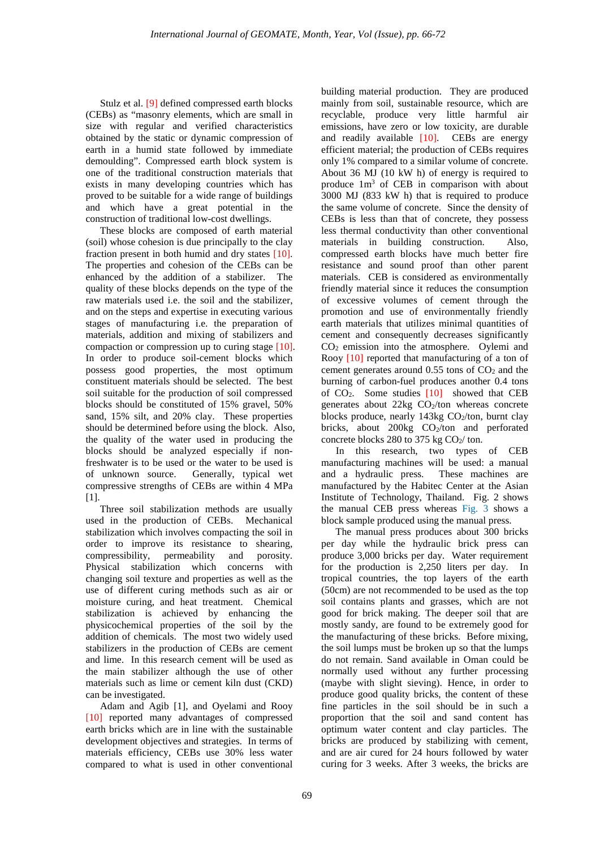Stulz et al. [9] defined compressed earth blocks (CEBs) as "masonry elements, which are small in size with regular and verified characteristics obtained by the static or dynamic compression of earth in a humid state followed by immediate demoulding". Compressed earth block system is one of the traditional construction materials that exists in many developing countries which has proved to be suitable for a wide range of buildings and which have a great potential in the construction of traditional low-cost dwellings.

These blocks are composed of earth material (soil) whose cohesion is due principally to the clay fraction present in both humid and dry states [10]. The properties and cohesion of the CEBs can be enhanced by the addition of a stabilizer. The quality of these blocks depends on the type of the raw materials used i.e. the soil and the stabilizer, and on the steps and expertise in executing various stages of manufacturing i.e. the preparation of materials, addition and mixing of stabilizers and compaction or compression up to curing stage [10]. In order to produce soil-cement blocks which possess good properties, the most optimum constituent materials should be selected. The best soil suitable for the production of soil compressed blocks should be constituted of 15% gravel, 50% sand, 15% silt, and 20% clay. These properties should be determined before using the block. Also, the quality of the water used in producing the blocks should be analyzed especially if nonfreshwater is to be used or the water to be used is of unknown source. Generally, typical wet compressive strengths of CEBs are within 4 MPa [1].

Three soil stabilization methods are usually used in the production of CEBs. Mechanical stabilization which involves compacting the soil in order to improve its resistance to shearing, compressibility, permeability and porosity. Physical stabilization which concerns with changing soil texture and properties as well as the use of different curing methods such as air or moisture curing, and heat treatment. Chemical stabilization is achieved by enhancing the physicochemical properties of the soil by the addition of chemicals. The most two widely used stabilizers in the production of CEBs are cement and lime. In this research cement will be used as the main stabilizer although the use of other materials such as lime or cement kiln dust (CKD) can be investigated.

Adam and Agib [1], and Oyelami and Rooy [10] reported many advantages of compressed earth bricks which are in line with the sustainable development objectives and strategies. In terms of materials efficiency, CEBs use 30% less water compared to what is used in other conventional

building material production. They are produced mainly from soil, sustainable resource, which are recyclable, produce very little harmful air emissions, have zero or low toxicity, are durable and readily available [10]. CEBs are energy efficient material; the production of CEBs requires only 1% compared to a similar volume of concrete. About 36 MJ (10 kW h) of energy is required to produce 1m3 of CEB in comparison with about 3000 MJ (833 kW h) that is required to produce the same volume of concrete. Since the density of CEBs is less than that of concrete, they possess less thermal conductivity than other conventional materials in building construction. Also, compressed earth blocks have much better fire resistance and sound proof than other parent materials. CEB is considered as environmentally friendly material since it reduces the consumption of excessive volumes of cement through the promotion and use of environmentally friendly earth materials that utilizes minimal quantities of cement and consequently decreases significantly CO2 emission into the atmosphere. Oylemi and Rooy [10] reported that manufacturing of a ton of cement generates around  $0.55$  tons of  $CO<sub>2</sub>$  and the burning of carbon-fuel produces another 0.4 tons of  $CO<sub>2</sub>$ . Some studies  $[10]$  showed that CEB generates about  $22kg CO<sub>2</sub>/ton$  whereas concrete blocks produce, nearly  $143\text{kg}$  CO<sub>2</sub>/ton, burnt clay bricks, about  $200kg$  CO<sub>2</sub>/ton and perforated concrete blocks 280 to 375 kg  $CO<sub>2</sub>/$  ton.

In this research, two types of CEB manufacturing machines will be used: a manual and a hydraulic press. These machines are manufactured by the Habitec Center at the Asian Institute of Technology, Thailand. Fig. 2 shows the manual CEB press whereas Fig. 3 shows a block sample produced using the manual press.

The manual press produces about 300 bricks per day while the hydraulic brick press can produce 3,000 bricks per day. Water requirement for the production is 2,250 liters per day. In tropical countries, the top layers of the earth (50cm) are not recommended to be used as the top soil contains plants and grasses, which are not good for brick making. The deeper soil that are mostly sandy, are found to be extremely good for the manufacturing of these bricks. Before mixing, the soil lumps must be broken up so that the lumps do not remain. Sand available in Oman could be normally used without any further processing (maybe with slight sieving). Hence, in order to produce good quality bricks, the content of these fine particles in the soil should be in such a proportion that the soil and sand content has optimum water content and clay particles. The bricks are produced by stabilizing with cement, and are air cured for 24 hours followed by water curing for 3 weeks. After 3 weeks, the bricks are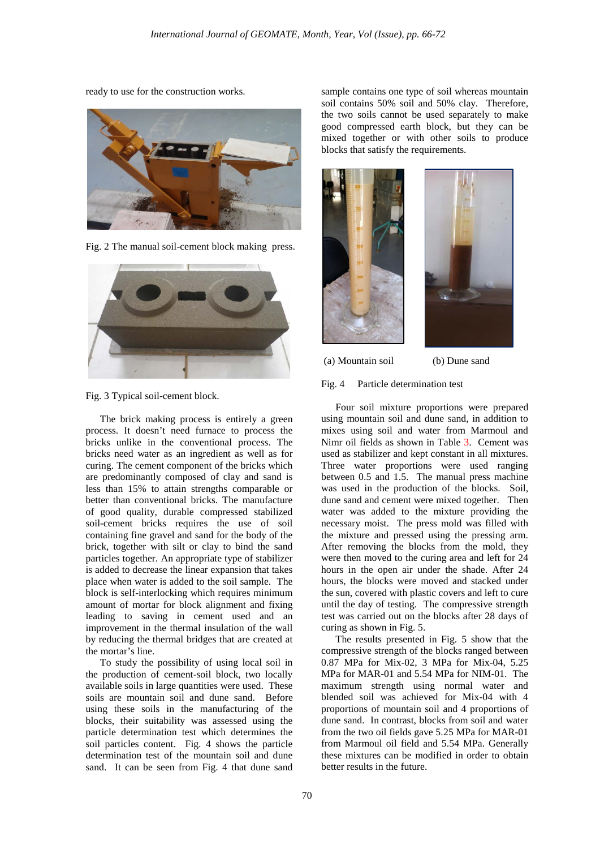ready to use for the construction works.



Fig. 2 The manual soil-cement block making press.





The brick making process is entirely a green process. It doesn't need furnace to process the bricks unlike in the conventional process. The bricks need water as an ingredient as well as for curing. The cement component of the bricks which are predominantly composed of clay and sand is less than 15% to attain strengths comparable or better than conventional bricks. The manufacture of good quality, durable compressed stabilized soil-cement bricks requires the use of soil containing fine gravel and sand for the body of the brick, together with silt or clay to bind the sand particles together. An appropriate type of stabilizer is added to decrease the linear expansion that takes place when water is added to the soil sample. The block is self-interlocking which requires minimum amount of mortar for block alignment and fixing leading to saving in cement used and an improvement in the thermal insulation of the wall by reducing the thermal bridges that are created at the mortar's line.

To study the possibility of using local soil in the production of cement-soil block, two locally available soils in large quantities were used. These soils are mountain soil and dune sand. Before using these soils in the manufacturing of the blocks, their suitability was assessed using the particle determination test which determines the soil particles content. Fig. 4 shows the particle determination test of the mountain soil and dune sand. It can be seen from Fig. 4 that dune sand

sample contains one type of soil whereas mountain soil contains 50% soil and 50% clay. Therefore, the two soils cannot be used separately to make good compressed earth block, but they can be mixed together or with other soils to produce blocks that satisfy the requirements.





(a) Mountain soil (b) Dune sand

# Fig. 4 Particle determination test

Four soil mixture proportions were prepared using mountain soil and dune sand, in addition to mixes using soil and water from Marmoul and Nimr oil fields as shown in Table 3. Cement was used as stabilizer and kept constant in all mixtures. Three water proportions were used ranging between 0.5 and 1.5. The manual press machine was used in the production of the blocks. Soil, dune sand and cement were mixed together. Then water was added to the mixture providing the necessary moist. The press mold was filled with the mixture and pressed using the pressing arm. After removing the blocks from the mold, they were then moved to the curing area and left for 24 hours in the open air under the shade. After 24 hours, the blocks were moved and stacked under the sun, covered with plastic covers and left to cure until the day of testing. The compressive strength test was carried out on the blocks after 28 days of curing as shown in Fig. 5.

The results presented in Fig. 5 show that the compressive strength of the blocks ranged between 0.87 MPa for Mix-02, 3 MPa for Mix-04, 5.25 MPa for MAR-01 and 5.54 MPa for NIM-01. The maximum strength using normal water and blended soil was achieved for Mix-04 with 4 proportions of mountain soil and 4 proportions of dune sand. In contrast, blocks from soil and water from the two oil fields gave 5.25 MPa for MAR-01 from Marmoul oil field and 5.54 MPa. Generally these mixtures can be modified in order to obtain better results in the future.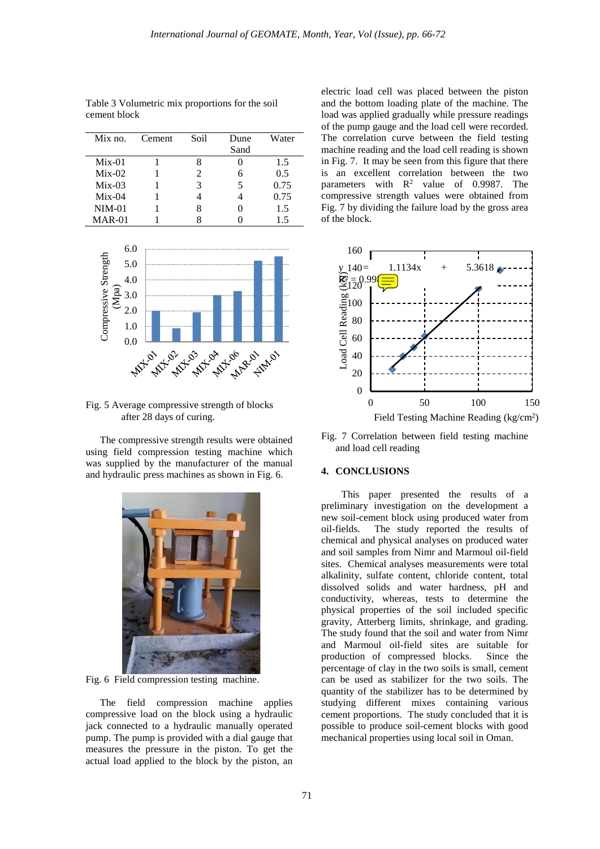| $Mix \, \text{no.}$ | Cement | Soil | Dune | Water |
|---------------------|--------|------|------|-------|
|                     |        |      | Sand |       |
| $Mix-01$            |        |      |      | 1.5   |
| $Mix-02$            |        |      |      | 0.5   |
| $Mix-03$            |        |      |      | 0.75  |
| $Mix-04$            |        |      |      | 0.75  |
| $NIM-01$            |        |      |      | 1.5   |
| MAR-01              |        |      |      | 1.5   |

Table 3 Volumetric mix proportions for the soil cement block



Fig. 5 Average compressive strength of blocks after 28 days of curing.

The compressive strength results were obtained using field compression testing machine which was supplied by the manufacturer of the manual and hydraulic press machines as shown in Fig. 6.



Fig. 6 Field compression testing machine.

The field compression machine applies compressive load on the block using a hydraulic jack connected to a hydraulic manually operated pump. The pump is provided with a dial gauge that measures the pressure in the piston. To get the actual load applied to the block by the piston, an

electric load cell was placed between the piston and the bottom loading plate of the machine. The load was applied gradually while pressure readings of the pump gauge and the load cell were recorded. The correlation curve between the field testing machine reading and the load cell reading is shown in Fig. 7. It may be seen from this figure that there is an excellent correlation between the two parameters with  $R^2$  value of 0.9987. The compressive strength values were obtained from Fig. 7 by dividing the failure load by the gross area of the block.



Fig. 7 Correlation between field testing machine and load cell reading

# **4. CONCLUSIONS**

This paper presented the results of a preliminary investigation on the development a new soil-cement block using produced water from oil-fields. The study reported the results of chemical and physical analyses on produced water and soil samples from Nimr and Marmoul oil-field sites. Chemical analyses measurements were total alkalinity, sulfate content, chloride content, total dissolved solids and water hardness, pH and conductivity, whereas, tests to determine the physical properties of the soil included specific gravity, Atterberg limits, shrinkage, and grading. The study found that the soil and water from Nimr and Marmoul oil-field sites are suitable for production of compressed blocks. Since the percentage of clay in the two soils is small, cement can be used as stabilizer for the two soils. The quantity of the stabilizer has to be determined by studying different mixes containing various cement proportions. The study concluded that it is possible to produce soil-cement blocks with good mechanical properties using local soil in Oman.